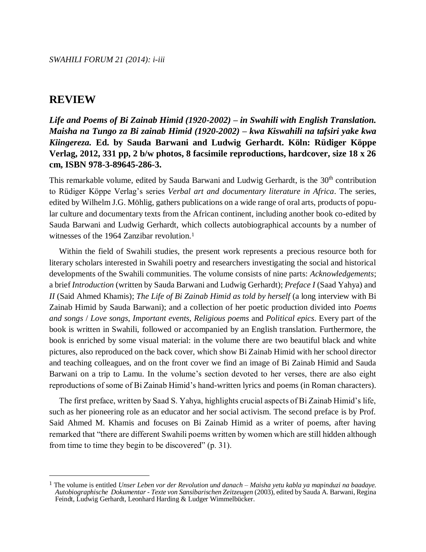## **REVIEW**

 $\overline{a}$ 

*Life and Poems of Bi Zainab Himid (1920-2002) – in Swahili with English Translation. Maisha na Tungo za Bi zainab Himid (1920-2002) – kwa Kiswahili na tafsiri yake kwa Kiingereza.* **Ed. by Sauda Barwani and Ludwig Gerhardt. Köln: Rüdiger Köppe Verlag, 2012, 331 pp, 2 b/w photos, 8 facsimile reproductions, hardcover, size 18 x 26 cm, ISBN 978-3-89645-286-3.**

This remarkable volume, edited by Sauda Barwani and Ludwig Gerhardt, is the 30<sup>th</sup> contribution to Rüdiger Köppe Verlag's series *Verbal art and documentary literature in Africa*. The series, edited by Wilhelm J.G. Möhlig, gathers publications on a wide range of oral arts, products of popular culture and documentary texts from the African continent, including another book co-edited by Sauda Barwani and Ludwig Gerhardt, which collects autobiographical accounts by a number of witnesses of the 1964 Zanzibar revolution.<sup>1</sup>

Within the field of Swahili studies, the present work represents a precious resource both for literary scholars interested in Swahili poetry and researchers investigating the social and historical developments of the Swahili communities. The volume consists of nine parts: *Acknowledgements*; a brief *Introduction* (written by Sauda Barwani and Ludwig Gerhardt); *Preface I* (Saad Yahya) and *II* (Said Ahmed Khamis); *The Life of Bi Zainab Himid as told by herself* (a long interview with Bi Zainab Himid by Sauda Barwani); and a collection of her poetic production divided into *Poems and songs* / *Love songs*, *Important events*, *Religious poems* and *Political epics*. Every part of the book is written in Swahili, followed or accompanied by an English translation. Furthermore, the book is enriched by some visual material: in the volume there are two beautiful black and white pictures, also reproduced on the back cover, which show Bi Zainab Himid with her school director and teaching colleagues, and on the front cover we find an image of Bi Zainab Himid and Sauda Barwani on a trip to Lamu. In the volume's section devoted to her verses, there are also eight reproductions of some of Bi Zainab Himid's hand-written lyrics and poems (in Roman characters).

The first preface, written by Saad S. Yahya, highlights crucial aspects of Bi Zainab Himid's life, such as her pioneering role as an educator and her social activism. The second preface is by Prof. Said Ahmed M. Khamis and focuses on Bi Zainab Himid as a writer of poems, after having remarked that "there are different Swahili poems written by women which are still hidden although from time to time they begin to be discovered" (p. 31).

<sup>1</sup> The volume is entitled *Unser Leben vor der Revolution und danach – Maisha yetu kabla ya mapinduzi na baadaye. Autobiographische Dokumentar - Texte von Sansibarischen Zeitzeugen* (2003), edited by Sauda A. Barwani, Regina Feindt, Ludwig Gerhardt, Leonhard Harding & Ludger Wimmelbücker.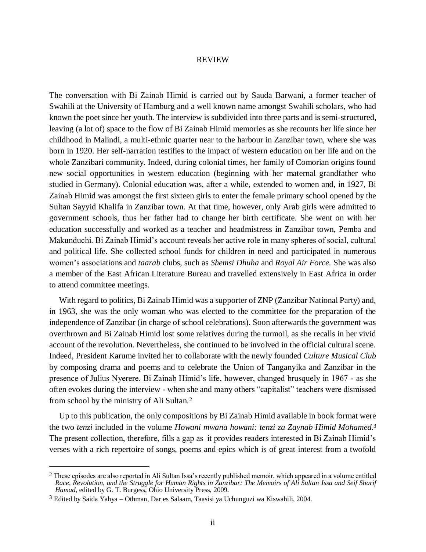## REVIEW

The conversation with Bi Zainab Himid is carried out by Sauda Barwani, a former teacher of Swahili at the University of Hamburg and a well known name amongst Swahili scholars, who had known the poet since her youth. The interview is subdivided into three parts and is semi-structured, leaving (a lot of) space to the flow of Bi Zainab Himid memories as she recounts her life since her childhood in Malindi, a multi-ethnic quarter near to the harbour in Zanzibar town, where she was born in 1920. Her self-narration testifies to the impact of western education on her life and on the whole Zanzibari community. Indeed, during colonial times, her family of Comorian origins found new social opportunities in western education (beginning with her maternal grandfather who studied in Germany). Colonial education was, after a while, extended to women and, in 1927, Bi Zainab Himid was amongst the first sixteen girls to enter the female primary school opened by the Sultan Sayyid Khalifa in Zanzibar town. At that time, however, only Arab girls were admitted to government schools, thus her father had to change her birth certificate. She went on with her education successfully and worked as a teacher and headmistress in Zanzibar town, Pemba and Makunduchi. Bi Zainab Himid's account reveals her active role in many spheres of social, cultural and political life. She collected school funds for children in need and participated in numerous women's associations and *taarab* clubs, such as *Shemsi Dhuha* and *Royal Air Force.* She was also a member of the East African Literature Bureau and travelled extensively in East Africa in order to attend committee meetings.

With regard to politics, Bi Zainab Himid was a supporter of ZNP (Zanzibar National Party) and, in 1963, she was the only woman who was elected to the committee for the preparation of the independence of Zanzibar (in charge of school celebrations). Soon afterwards the government was overthrown and Bi Zainab Himid lost some relatives during the turmoil, as she recalls in her vivid account of the revolution. Nevertheless, she continued to be involved in the official cultural scene. Indeed, President Karume invited her to collaborate with the newly founded *Culture Musical Club* by composing drama and poems and to celebrate the Union of Tanganyika and Zanzibar in the presence of Julius Nyerere. Bi Zainab Himid's life, however, changed brusquely in 1967 - as she often evokes during the interview - when she and many others "capitalist" teachers were dismissed from school by the ministry of Ali Sultan.<sup>2</sup>

Up to this publication, the only compositions by Bi Zainab Himid available in book format were the two *tenzi* included in the volume *Howani mwana howani: tenzi za Zaynab Himid Mohamed*. 3 The present collection, therefore, fills a gap as it provides readers interested in Bi Zainab Himid's verses with a rich repertoire of songs, poems and epics which is of great interest from a twofold

 $\overline{a}$ 

<sup>&</sup>lt;sup>2</sup> These episodes are also reported in Ali Sultan Issa's recently published memoir, which appeared in a volume entitled *Race, Revolution, and the Struggle for Human Rights in Zanzibar: The Memoirs of Ali Sultan Issa and Seif Sharif Hamad*, edited by G. T. Burgess, Ohio University Press, 2009.

<sup>3</sup> Edited by Saida Yahya – Othman, Dar es Salaam, Taasisi ya Uchunguzi wa Kiswahili, 2004.